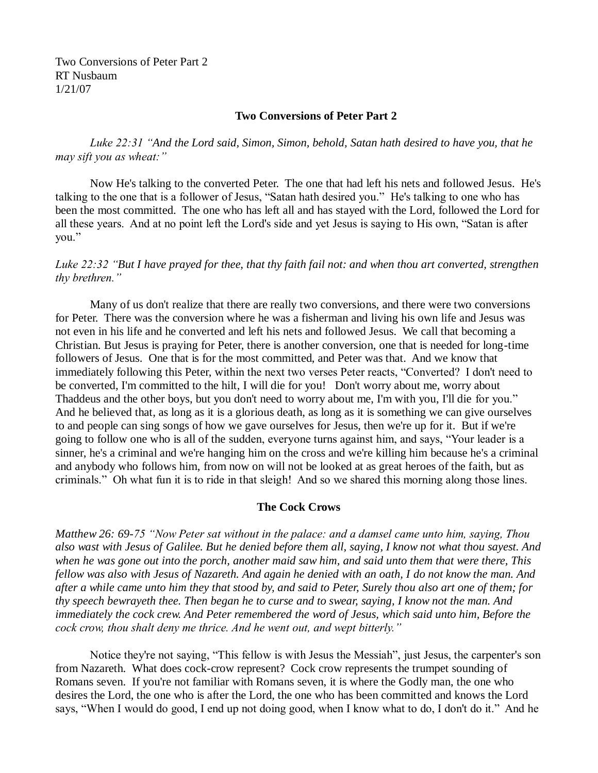Two Conversions of Peter Part 2 RT Nusbaum 1/21/07

#### **Two Conversions of Peter Part 2**

*Luke 22:31 "And the Lord said, Simon, Simon, behold, Satan hath desired to have you, that he may sift you as wheat:"*

Now He's talking to the converted Peter. The one that had left his nets and followed Jesus. He's talking to the one that is a follower of Jesus, "Satan hath desired you." He's talking to one who has been the most committed. The one who has left all and has stayed with the Lord, followed the Lord for all these years. And at no point left the Lord's side and yet Jesus is saying to His own, "Satan is after you."

## *Luke 22:32 "But I have prayed for thee, that thy faith fail not: and when thou art converted, strengthen thy brethren."*

Many of us don't realize that there are really two conversions, and there were two conversions for Peter. There was the conversion where he was a fisherman and living his own life and Jesus was not even in his life and he converted and left his nets and followed Jesus. We call that becoming a Christian. But Jesus is praying for Peter, there is another conversion, one that is needed for long-time followers of Jesus. One that is for the most committed, and Peter was that. And we know that immediately following this Peter, within the next two verses Peter reacts, "Converted? I don't need to be converted, I'm committed to the hilt, I will die for you! Don't worry about me, worry about Thaddeus and the other boys, but you don't need to worry about me, I'm with you, I'll die for you." And he believed that, as long as it is a glorious death, as long as it is something we can give ourselves to and people can sing songs of how we gave ourselves for Jesus, then we're up for it. But if we're going to follow one who is all of the sudden, everyone turns against him, and says, "Your leader is a sinner, he's a criminal and we're hanging him on the cross and we're killing him because he's a criminal and anybody who follows him, from now on will not be looked at as great heroes of the faith, but as criminals." Oh what fun it is to ride in that sleigh! And so we shared this morning along those lines.

#### **The Cock Crows**

*Matthew 26: 69-75 "Now Peter sat without in the palace: and a damsel came unto him, saying, Thou also wast with Jesus of Galilee. But he denied before them all, saying, I know not what thou sayest. And when he was gone out into the porch, another maid saw him, and said unto them that were there, This fellow was also with Jesus of Nazareth. And again he denied with an oath, I do not know the man. And after a while came unto him they that stood by, and said to Peter, Surely thou also art one of them; for thy speech bewrayeth thee. Then began he to curse and to swear, saying, I know not the man. And immediately the cock crew. And Peter remembered the word of Jesus, which said unto him, Before the cock crow, thou shalt deny me thrice. And he went out, and wept bitterly."*

Notice they're not saying, "This fellow is with Jesus the Messiah", just Jesus, the carpenter's son from Nazareth. What does cock-crow represent? Cock crow represents the trumpet sounding of Romans seven. If you're not familiar with Romans seven, it is where the Godly man, the one who desires the Lord, the one who is after the Lord, the one who has been committed and knows the Lord says, "When I would do good, I end up not doing good, when I know what to do, I don't do it." And he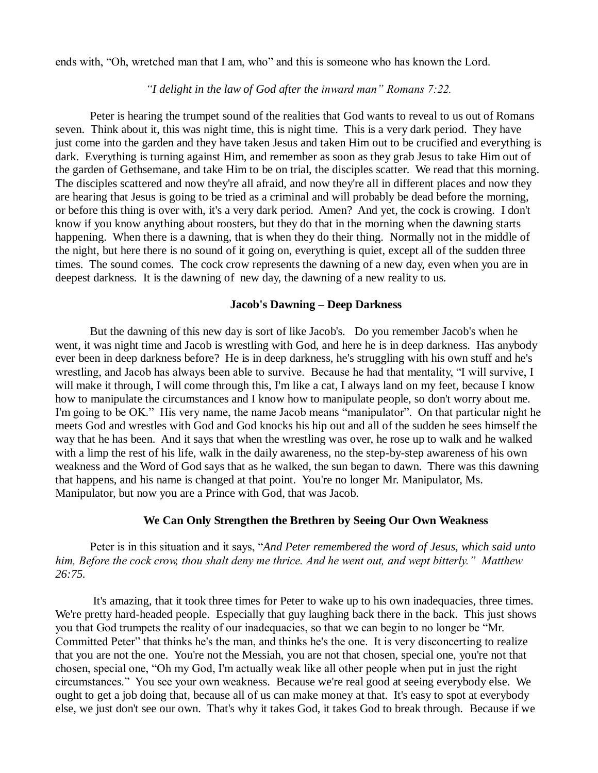ends with, "Oh, wretched man that I am, who" and this is someone who has known the Lord.

#### *"I delight in the law of God after the inward man" Romans 7:22.*

Peter is hearing the trumpet sound of the realities that God wants to reveal to us out of Romans seven. Think about it, this was night time, this is night time. This is a very dark period. They have just come into the garden and they have taken Jesus and taken Him out to be crucified and everything is dark. Everything is turning against Him, and remember as soon as they grab Jesus to take Him out of the garden of Gethsemane, and take Him to be on trial, the disciples scatter. We read that this morning. The disciples scattered and now they're all afraid, and now they're all in different places and now they are hearing that Jesus is going to be tried as a criminal and will probably be dead before the morning, or before this thing is over with, it's a very dark period. Amen? And yet, the cock is crowing. I don't know if you know anything about roosters, but they do that in the morning when the dawning starts happening. When there is a dawning, that is when they do their thing. Normally not in the middle of the night, but here there is no sound of it going on, everything is quiet, except all of the sudden three times. The sound comes. The cock crow represents the dawning of a new day, even when you are in deepest darkness. It is the dawning of new day, the dawning of a new reality to us.

#### **Jacob's Dawning – Deep Darkness**

But the dawning of this new day is sort of like Jacob's. Do you remember Jacob's when he went, it was night time and Jacob is wrestling with God, and here he is in deep darkness. Has anybody ever been in deep darkness before? He is in deep darkness, he's struggling with his own stuff and he's wrestling, and Jacob has always been able to survive. Because he had that mentality, "I will survive, I will make it through, I will come through this, I'm like a cat, I always land on my feet, because I know how to manipulate the circumstances and I know how to manipulate people, so don't worry about me. I'm going to be OK." His very name, the name Jacob means "manipulator". On that particular night he meets God and wrestles with God and God knocks his hip out and all of the sudden he sees himself the way that he has been. And it says that when the wrestling was over, he rose up to walk and he walked with a limp the rest of his life, walk in the daily awareness, no the step-by-step awareness of his own weakness and the Word of God says that as he walked, the sun began to dawn. There was this dawning that happens, and his name is changed at that point. You're no longer Mr. Manipulator, Ms. Manipulator, but now you are a Prince with God, that was Jacob.

### **We Can Only Strengthen the Brethren by Seeing Our Own Weakness**

Peter is in this situation and it says, "*And Peter remembered the word of Jesus, which said unto him, Before the cock crow, thou shalt deny me thrice. And he went out, and wept bitterly." Matthew 26:75.* 

It's amazing, that it took three times for Peter to wake up to his own inadequacies, three times. We're pretty hard-headed people. Especially that guy laughing back there in the back. This just shows you that God trumpets the reality of our inadequacies, so that we can begin to no longer be "Mr. Committed Peter" that thinks he's the man, and thinks he's the one. It is very disconcerting to realize that you are not the one. You're not the Messiah, you are not that chosen, special one, you're not that chosen, special one, "Oh my God, I'm actually weak like all other people when put in just the right circumstances." You see your own weakness. Because we're real good at seeing everybody else. We ought to get a job doing that, because all of us can make money at that. It's easy to spot at everybody else, we just don't see our own. That's why it takes God, it takes God to break through. Because if we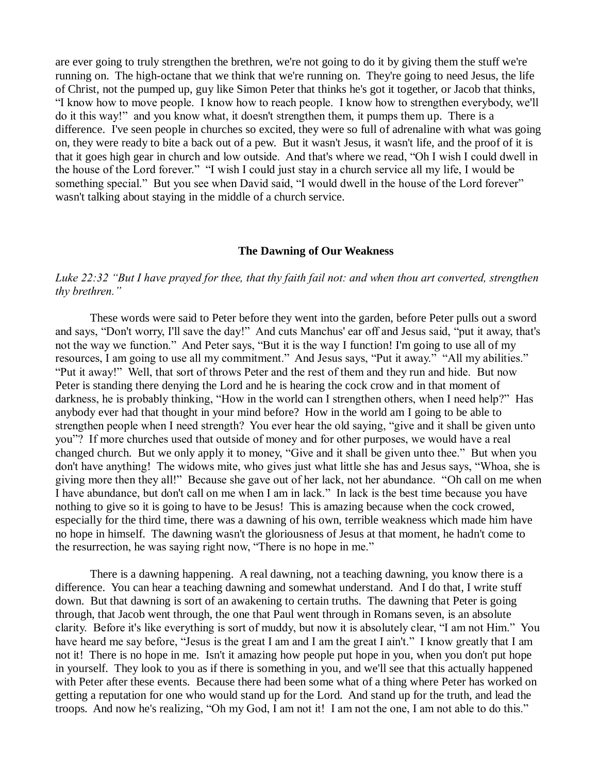are ever going to truly strengthen the brethren, we're not going to do it by giving them the stuff we're running on. The high-octane that we think that we're running on. They're going to need Jesus, the life of Christ, not the pumped up, guy like Simon Peter that thinks he's got it together, or Jacob that thinks, "I know how to move people. I know how to reach people. I know how to strengthen everybody, we'll do it this way!" and you know what, it doesn't strengthen them, it pumps them up. There is a difference. I've seen people in churches so excited, they were so full of adrenaline with what was going on, they were ready to bite a back out of a pew. But it wasn't Jesus, it wasn't life, and the proof of it is that it goes high gear in church and low outside. And that's where we read, "Oh I wish I could dwell in the house of the Lord forever." "I wish I could just stay in a church service all my life, I would be something special." But you see when David said, "I would dwell in the house of the Lord forever" wasn't talking about staying in the middle of a church service.

#### **The Dawning of Our Weakness**

# *Luke 22:32 "But I have prayed for thee, that thy faith fail not: and when thou art converted, strengthen thy brethren."*

These words were said to Peter before they went into the garden, before Peter pulls out a sword and says, "Don't worry, I'll save the day!" And cuts Manchus' ear off and Jesus said, "put it away, that's not the way we function." And Peter says, "But it is the way I function! I'm going to use all of my resources, I am going to use all my commitment." And Jesus says, "Put it away." "All my abilities." "Put it away!" Well, that sort of throws Peter and the rest of them and they run and hide. But now Peter is standing there denying the Lord and he is hearing the cock crow and in that moment of darkness, he is probably thinking, "How in the world can I strengthen others, when I need help?" Has anybody ever had that thought in your mind before? How in the world am I going to be able to strengthen people when I need strength? You ever hear the old saying, "give and it shall be given unto you"? If more churches used that outside of money and for other purposes, we would have a real changed church. But we only apply it to money, "Give and it shall be given unto thee." But when you don't have anything! The widows mite, who gives just what little she has and Jesus says, "Whoa, she is giving more then they all!" Because she gave out of her lack, not her abundance. "Oh call on me when I have abundance, but don't call on me when I am in lack." In lack is the best time because you have nothing to give so it is going to have to be Jesus! This is amazing because when the cock crowed, especially for the third time, there was a dawning of his own, terrible weakness which made him have no hope in himself. The dawning wasn't the gloriousness of Jesus at that moment, he hadn't come to the resurrection, he was saying right now, "There is no hope in me."

There is a dawning happening. A real dawning, not a teaching dawning, you know there is a difference. You can hear a teaching dawning and somewhat understand. And I do that, I write stuff down. But that dawning is sort of an awakening to certain truths. The dawning that Peter is going through, that Jacob went through, the one that Paul went through in Romans seven, is an absolute clarity. Before it's like everything is sort of muddy, but now it is absolutely clear, "I am not Him." You have heard me say before, "Jesus is the great I am and I am the great I ain't." I know greatly that I am not it! There is no hope in me. Isn't it amazing how people put hope in you, when you don't put hope in yourself. They look to you as if there is something in you, and we'll see that this actually happened with Peter after these events. Because there had been some what of a thing where Peter has worked on getting a reputation for one who would stand up for the Lord. And stand up for the truth, and lead the troops. And now he's realizing, "Oh my God, I am not it! I am not the one, I am not able to do this."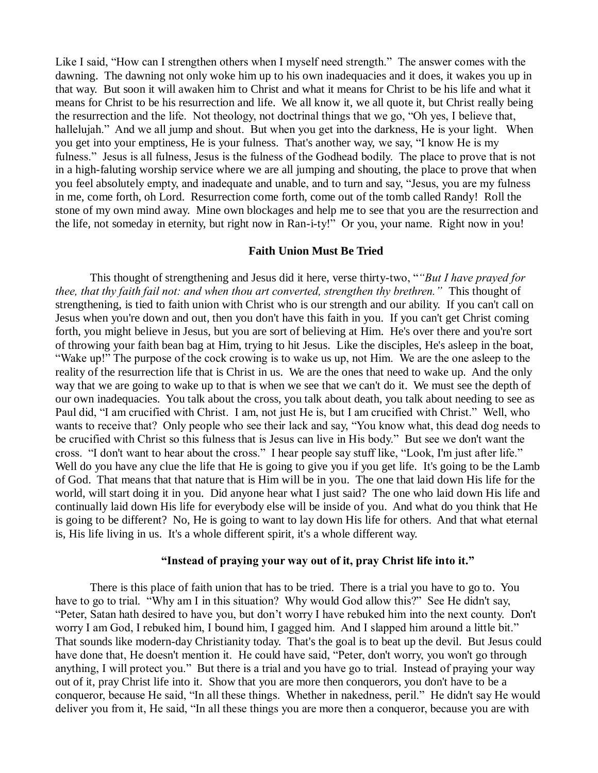Like I said, "How can I strengthen others when I myself need strength." The answer comes with the dawning. The dawning not only woke him up to his own inadequacies and it does, it wakes you up in that way. But soon it will awaken him to Christ and what it means for Christ to be his life and what it means for Christ to be his resurrection and life. We all know it, we all quote it, but Christ really being the resurrection and the life. Not theology, not doctrinal things that we go, "Oh yes, I believe that, hallelujah." And we all jump and shout. But when you get into the darkness, He is your light. When you get into your emptiness, He is your fulness. That's another way, we say, "I know He is my fulness." Jesus is all fulness, Jesus is the fulness of the Godhead bodily. The place to prove that is not in a high-faluting worship service where we are all jumping and shouting, the place to prove that when you feel absolutely empty, and inadequate and unable, and to turn and say, "Jesus, you are my fulness in me, come forth, oh Lord. Resurrection come forth, come out of the tomb called Randy! Roll the stone of my own mind away. Mine own blockages and help me to see that you are the resurrection and the life, not someday in eternity, but right now in Ran-i-ty!" Or you, your name. Right now in you!

#### **Faith Union Must Be Tried**

This thought of strengthening and Jesus did it here, verse thirty-two, "*"But I have prayed for thee, that thy faith fail not: and when thou art converted, strengthen thy brethren."* This thought of strengthening, is tied to faith union with Christ who is our strength and our ability. If you can't call on Jesus when you're down and out, then you don't have this faith in you. If you can't get Christ coming forth, you might believe in Jesus, but you are sort of believing at Him. He's over there and you're sort of throwing your faith bean bag at Him, trying to hit Jesus. Like the disciples, He's asleep in the boat, "Wake up!" The purpose of the cock crowing is to wake us up, not Him. We are the one asleep to the reality of the resurrection life that is Christ in us. We are the ones that need to wake up. And the only way that we are going to wake up to that is when we see that we can't do it. We must see the depth of our own inadequacies. You talk about the cross, you talk about death, you talk about needing to see as Paul did, "I am crucified with Christ. I am, not just He is, but I am crucified with Christ." Well, who wants to receive that? Only people who see their lack and say, "You know what, this dead dog needs to be crucified with Christ so this fulness that is Jesus can live in His body." But see we don't want the cross. "I don't want to hear about the cross." I hear people say stuff like, "Look, I'm just after life." Well do you have any clue the life that He is going to give you if you get life. It's going to be the Lamb of God. That means that that nature that is Him will be in you. The one that laid down His life for the world, will start doing it in you. Did anyone hear what I just said? The one who laid down His life and continually laid down His life for everybody else will be inside of you. And what do you think that He is going to be different? No, He is going to want to lay down His life for others. And that what eternal is, His life living in us. It's a whole different spirit, it's a whole different way.

#### **"Instead of praying your way out of it, pray Christ life into it."**

There is this place of faith union that has to be tried. There is a trial you have to go to. You have to go to trial. "Why am I in this situation? Why would God allow this?" See He didn't say, "Peter, Satan hath desired to have you, but don't worry I have rebuked him into the next county. Don't worry I am God, I rebuked him, I bound him, I gagged him. And I slapped him around a little bit." That sounds like modern-day Christianity today. That's the goal is to beat up the devil. But Jesus could have done that, He doesn't mention it. He could have said, "Peter, don't worry, you won't go through anything, I will protect you." But there is a trial and you have go to trial. Instead of praying your way out of it, pray Christ life into it. Show that you are more then conquerors, you don't have to be a conqueror, because He said, "In all these things. Whether in nakedness, peril." He didn't say He would deliver you from it, He said, "In all these things you are more then a conqueror, because you are with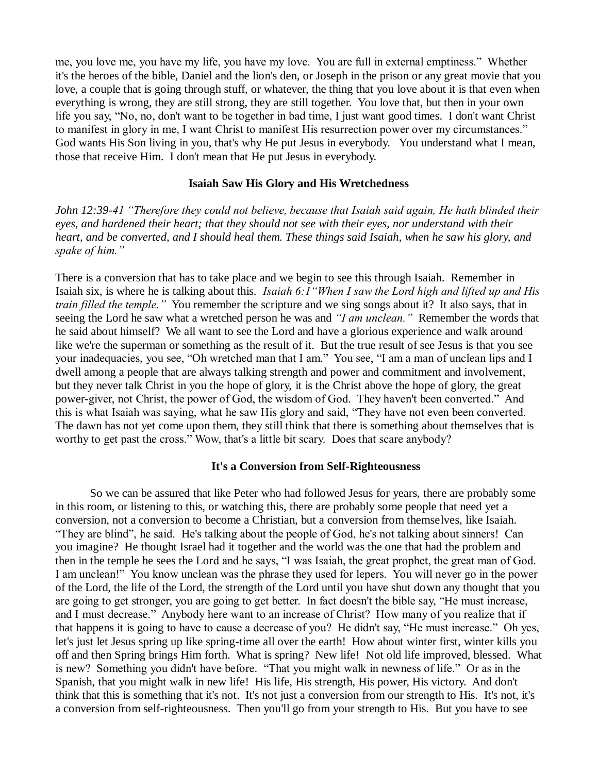me, you love me, you have my life, you have my love. You are full in external emptiness." Whether it's the heroes of the bible, Daniel and the lion's den, or Joseph in the prison or any great movie that you love, a couple that is going through stuff, or whatever, the thing that you love about it is that even when everything is wrong, they are still strong, they are still together. You love that, but then in your own life you say, "No, no, don't want to be together in bad time, I just want good times. I don't want Christ to manifest in glory in me, I want Christ to manifest His resurrection power over my circumstances." God wants His Son living in you, that's why He put Jesus in everybody. You understand what I mean, those that receive Him. I don't mean that He put Jesus in everybody.

### **Isaiah Saw His Glory and His Wretchedness**

*John 12:39-41 "Therefore they could not believe, because that Isaiah said again, He hath blinded their eyes, and hardened their heart; that they should not see with their eyes, nor understand with their heart, and be converted, and I should heal them. These things said Isaiah, when he saw his glory, and spake of him."*

There is a conversion that has to take place and we begin to see this through Isaiah. Remember in Isaiah six, is where he is talking about this. *Isaiah 6:1"When I saw the Lord high and lifted up and His train filled the temple."* You remember the scripture and we sing songs about it? It also says, that in seeing the Lord he saw what a wretched person he was and *"I am unclean."* Remember the words that he said about himself? We all want to see the Lord and have a glorious experience and walk around like we're the superman or something as the result of it. But the true result of see Jesus is that you see your inadequacies, you see, "Oh wretched man that I am." You see, "I am a man of unclean lips and I dwell among a people that are always talking strength and power and commitment and involvement, but they never talk Christ in you the hope of glory, it is the Christ above the hope of glory, the great power-giver, not Christ, the power of God, the wisdom of God. They haven't been converted." And this is what Isaiah was saying, what he saw His glory and said, "They have not even been converted. The dawn has not yet come upon them, they still think that there is something about themselves that is worthy to get past the cross." Wow, that's a little bit scary. Does that scare anybody?

#### **It's a Conversion from Self-Righteousness**

So we can be assured that like Peter who had followed Jesus for years, there are probably some in this room, or listening to this, or watching this, there are probably some people that need yet a conversion, not a conversion to become a Christian, but a conversion from themselves, like Isaiah. "They are blind", he said. He's talking about the people of God, he's not talking about sinners! Can you imagine? He thought Israel had it together and the world was the one that had the problem and then in the temple he sees the Lord and he says, "I was Isaiah, the great prophet, the great man of God. I am unclean!" You know unclean was the phrase they used for lepers. You will never go in the power of the Lord, the life of the Lord, the strength of the Lord until you have shut down any thought that you are going to get stronger, you are going to get better. In fact doesn't the bible say, "He must increase, and I must decrease." Anybody here want to an increase of Christ? How many of you realize that if that happens it is going to have to cause a decrease of you? He didn't say, "He must increase." Oh yes, let's just let Jesus spring up like spring-time all over the earth! How about winter first, winter kills you off and then Spring brings Him forth. What is spring? New life! Not old life improved, blessed. What is new? Something you didn't have before. "That you might walk in newness of life." Or as in the Spanish, that you might walk in new life! His life, His strength, His power, His victory. And don't think that this is something that it's not. It's not just a conversion from our strength to His. It's not, it's a conversion from self-righteousness. Then you'll go from your strength to His. But you have to see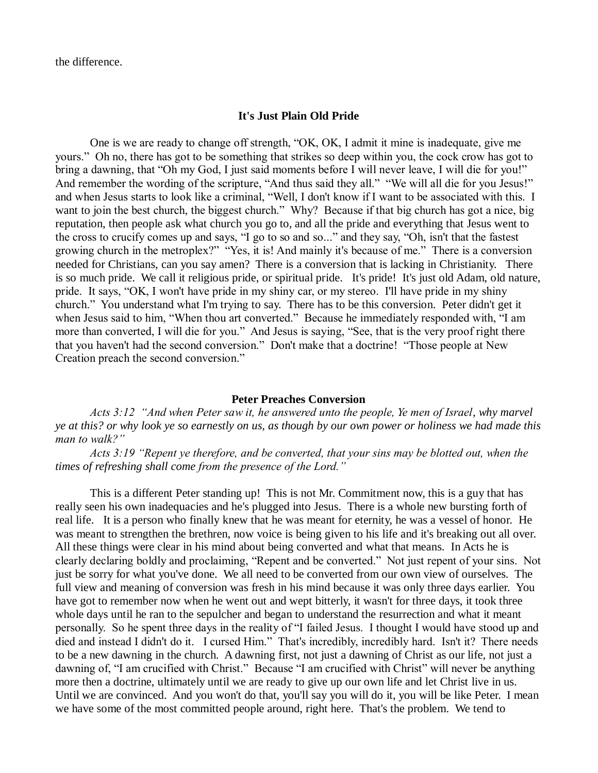the difference.

#### **It's Just Plain Old Pride**

One is we are ready to change off strength, "OK, OK, I admit it mine is inadequate, give me yours." Oh no, there has got to be something that strikes so deep within you, the cock crow has got to bring a dawning, that "Oh my God, I just said moments before I will never leave, I will die for you!" And remember the wording of the scripture, "And thus said they all." "We will all die for you Jesus!" and when Jesus starts to look like a criminal, "Well, I don't know if I want to be associated with this. I want to join the best church, the biggest church." Why? Because if that big church has got a nice, big reputation, then people ask what church you go to, and all the pride and everything that Jesus went to the cross to crucify comes up and says, "I go to so and so..." and they say, "Oh, isn't that the fastest growing church in the metroplex?" "Yes, it is! And mainly it's because of me." There is a conversion needed for Christians, can you say amen? There is a conversion that is lacking in Christianity. There is so much pride. We call it religious pride, or spiritual pride. It's pride! It's just old Adam, old nature, pride. It says, "OK, I won't have pride in my shiny car, or my stereo. I'll have pride in my shiny church." You understand what I'm trying to say. There has to be this conversion. Peter didn't get it when Jesus said to him, "When thou art converted." Because he immediately responded with, "I am more than converted, I will die for you." And Jesus is saying, "See, that is the very proof right there that you haven't had the second conversion." Don't make that a doctrine! "Those people at New Creation preach the second conversion."

#### **Peter Preaches Conversion**

*Acts 3:12 "And when Peter saw it, he answered unto the people, Ye men of Israel, why marvel ye at this? or why look ye so earnestly on us, as though by our own power or holiness we had made this man to walk?"* 

*Acts 3:19 "Repent ye therefore, and be converted, that your sins may be blotted out, when the times of refreshing shall come from the presence of the Lord."* 

This is a different Peter standing up! This is not Mr. Commitment now, this is a guy that has really seen his own inadequacies and he's plugged into Jesus. There is a whole new bursting forth of real life. It is a person who finally knew that he was meant for eternity, he was a vessel of honor. He was meant to strengthen the brethren, now voice is being given to his life and it's breaking out all over. All these things were clear in his mind about being converted and what that means. In Acts he is clearly declaring boldly and proclaiming, "Repent and be converted." Not just repent of your sins. Not just be sorry for what you've done. We all need to be converted from our own view of ourselves. The full view and meaning of conversion was fresh in his mind because it was only three days earlier. You have got to remember now when he went out and wept bitterly, it wasn't for three days, it took three whole days until he ran to the sepulcher and began to understand the resurrection and what it meant personally. So he spent three days in the reality of "I failed Jesus. I thought I would have stood up and died and instead I didn't do it. I cursed Him." That's incredibly, incredibly hard. Isn't it? There needs to be a new dawning in the church. A dawning first, not just a dawning of Christ as our life, not just a dawning of, "I am crucified with Christ." Because "I am crucified with Christ" will never be anything more then a doctrine, ultimately until we are ready to give up our own life and let Christ live in us. Until we are convinced. And you won't do that, you'll say you will do it, you will be like Peter. I mean we have some of the most committed people around, right here. That's the problem. We tend to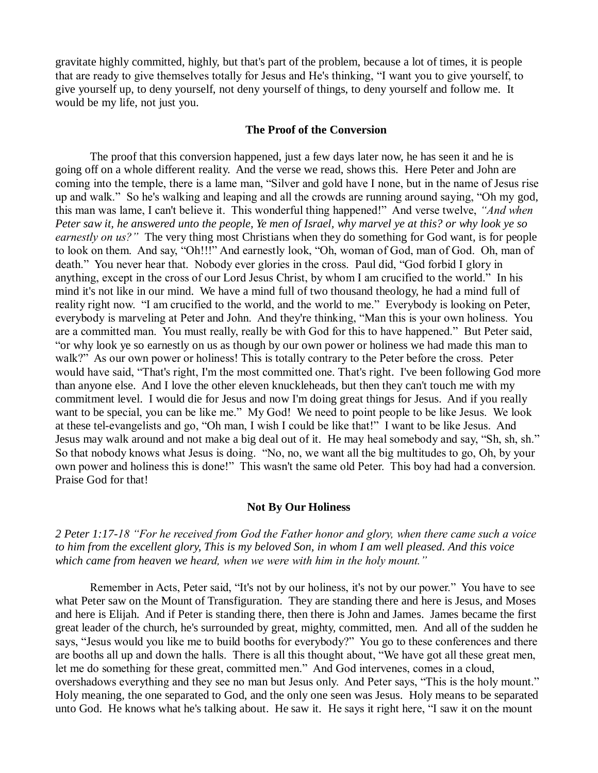gravitate highly committed, highly, but that's part of the problem, because a lot of times, it is people that are ready to give themselves totally for Jesus and He's thinking, "I want you to give yourself, to give yourself up, to deny yourself, not deny yourself of things, to deny yourself and follow me. It would be my life, not just you.

#### **The Proof of the Conversion**

The proof that this conversion happened, just a few days later now, he has seen it and he is going off on a whole different reality. And the verse we read, shows this. Here Peter and John are coming into the temple, there is a lame man, "Silver and gold have I none, but in the name of Jesus rise up and walk." So he's walking and leaping and all the crowds are running around saying, "Oh my god, this man was lame, I can't believe it. This wonderful thing happened!" And verse twelve, *"And when Peter saw it, he answered unto the people, Ye men of Israel, why marvel ye at this? or why look ye so earnestly on us?"* The very thing most Christians when they do something for God want, is for people to look on them. And say, "Oh!!!" And earnestly look, "Oh, woman of God, man of God. Oh, man of death." You never hear that. Nobody ever glories in the cross. Paul did, "God forbid I glory in anything, except in the cross of our Lord Jesus Christ, by whom I am crucified to the world." In his mind it's not like in our mind. We have a mind full of two thousand theology, he had a mind full of reality right now. "I am crucified to the world, and the world to me." Everybody is looking on Peter, everybody is marveling at Peter and John. And they're thinking, "Man this is your own holiness. You are a committed man. You must really, really be with God for this to have happened." But Peter said, "or why look ye so earnestly on us as though by our own power or holiness we had made this man to walk?" As our own power or holiness! This is totally contrary to the Peter before the cross. Peter would have said, "That's right, I'm the most committed one. That's right. I've been following God more than anyone else. And I love the other eleven knuckleheads, but then they can't touch me with my commitment level. I would die for Jesus and now I'm doing great things for Jesus. And if you really want to be special, you can be like me." My God! We need to point people to be like Jesus. We look at these tel-evangelists and go, "Oh man, I wish I could be like that!" I want to be like Jesus. And Jesus may walk around and not make a big deal out of it. He may heal somebody and say, "Sh, sh, sh." So that nobody knows what Jesus is doing. "No, no, we want all the big multitudes to go, Oh, by your own power and holiness this is done!" This wasn't the same old Peter. This boy had had a conversion. Praise God for that!

#### **Not By Our Holiness**

*2 Peter 1:17-18 "For he received from God the Father honor and glory, when there came such a voice to him from the excellent glory, This is my beloved Son, in whom I am well pleased. And this voice which came from heaven we heard, when we were with him in the holy mount."* 

Remember in Acts, Peter said, "It's not by our holiness, it's not by our power." You have to see what Peter saw on the Mount of Transfiguration. They are standing there and here is Jesus, and Moses and here is Elijah. And if Peter is standing there, then there is John and James. James became the first great leader of the church, he's surrounded by great, mighty, committed, men. And all of the sudden he says, "Jesus would you like me to build booths for everybody?" You go to these conferences and there are booths all up and down the halls. There is all this thought about, "We have got all these great men, let me do something for these great, committed men." And God intervenes, comes in a cloud, overshadows everything and they see no man but Jesus only. And Peter says, "This is the holy mount." Holy meaning, the one separated to God, and the only one seen was Jesus. Holy means to be separated unto God. He knows what he's talking about. He saw it. He says it right here, "I saw it on the mount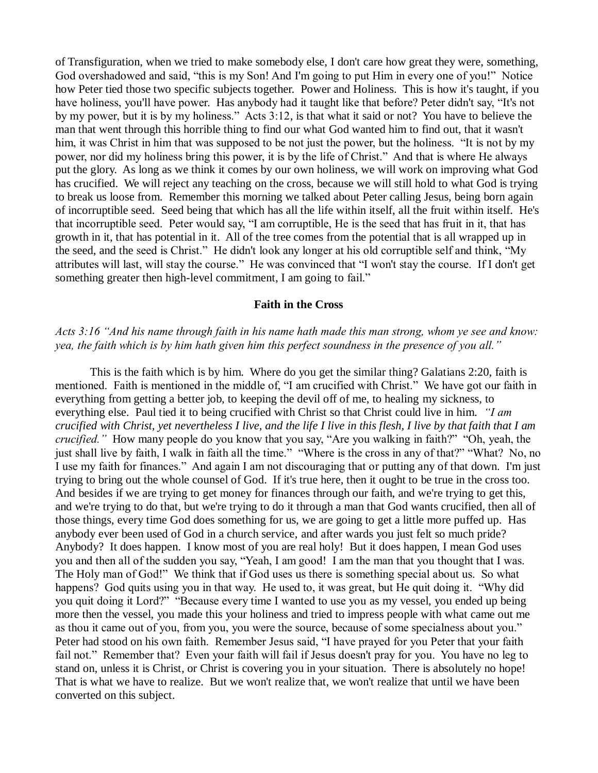of Transfiguration, when we tried to make somebody else, I don't care how great they were, something, God overshadowed and said, "this is my Son! And I'm going to put Him in every one of you!" Notice how Peter tied those two specific subjects together. Power and Holiness. This is how it's taught, if you have holiness, you'll have power. Has anybody had it taught like that before? Peter didn't say, "It's not by my power, but it is by my holiness." Acts 3:12, is that what it said or not? You have to believe the man that went through this horrible thing to find our what God wanted him to find out, that it wasn't him, it was Christ in him that was supposed to be not just the power, but the holiness. "It is not by my power, nor did my holiness bring this power, it is by the life of Christ." And that is where He always put the glory. As long as we think it comes by our own holiness, we will work on improving what God has crucified. We will reject any teaching on the cross, because we will still hold to what God is trying to break us loose from. Remember this morning we talked about Peter calling Jesus, being born again of incorruptible seed. Seed being that which has all the life within itself, all the fruit within itself. He's that incorruptible seed. Peter would say, "I am corruptible, He is the seed that has fruit in it, that has growth in it, that has potential in it. All of the tree comes from the potential that is all wrapped up in the seed, and the seed is Christ." He didn't look any longer at his old corruptible self and think, "My attributes will last, will stay the course." He was convinced that "I won't stay the course. If I don't get something greater then high-level commitment, I am going to fail."

# **Faith in the Cross**

## *Acts 3:16 "And his name through faith in his name hath made this man strong, whom ye see and know: yea, the faith which is by him hath given him this perfect soundness in the presence of you all."*

This is the faith which is by him. Where do you get the similar thing? Galatians 2:20, faith is mentioned. Faith is mentioned in the middle of, "I am crucified with Christ." We have got our faith in everything from getting a better job, to keeping the devil off of me, to healing my sickness, to everything else. Paul tied it to being crucified with Christ so that Christ could live in him. *"I am crucified with Christ, yet nevertheless I live, and the life I live in this flesh, I live by that faith that I am crucified."* How many people do you know that you say, "Are you walking in faith?" "Oh, yeah, the just shall live by faith, I walk in faith all the time." "Where is the cross in any of that?" "What? No, no I use my faith for finances." And again I am not discouraging that or putting any of that down. I'm just trying to bring out the whole counsel of God. If it's true here, then it ought to be true in the cross too. And besides if we are trying to get money for finances through our faith, and we're trying to get this, and we're trying to do that, but we're trying to do it through a man that God wants crucified, then all of those things, every time God does something for us, we are going to get a little more puffed up. Has anybody ever been used of God in a church service, and after wards you just felt so much pride? Anybody? It does happen. I know most of you are real holy! But it does happen, I mean God uses you and then all of the sudden you say, "Yeah, I am good! I am the man that you thought that I was. The Holy man of God!" We think that if God uses us there is something special about us. So what happens? God quits using you in that way. He used to, it was great, but He quit doing it. "Why did you quit doing it Lord?" "Because every time I wanted to use you as my vessel, you ended up being more then the vessel, you made this your holiness and tried to impress people with what came out me as thou it came out of you, from you, you were the source, because of some specialness about you." Peter had stood on his own faith. Remember Jesus said, "I have prayed for you Peter that your faith fail not." Remember that? Even your faith will fail if Jesus doesn't pray for you. You have no leg to stand on, unless it is Christ, or Christ is covering you in your situation. There is absolutely no hope! That is what we have to realize. But we won't realize that, we won't realize that until we have been converted on this subject.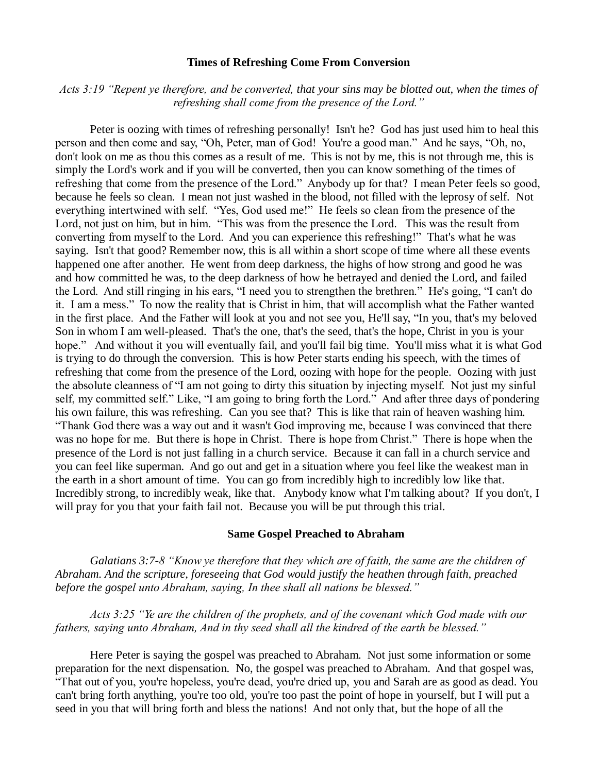#### **Times of Refreshing Come From Conversion**

## *Acts 3:19 "Repent ye therefore, and be converted, that your sins may be blotted out, when the times of refreshing shall come from the presence of the Lord."*

Peter is oozing with times of refreshing personally! Isn't he? God has just used him to heal this person and then come and say, "Oh, Peter, man of God! You're a good man." And he says, "Oh, no, don't look on me as thou this comes as a result of me. This is not by me, this is not through me, this is simply the Lord's work and if you will be converted, then you can know something of the times of refreshing that come from the presence of the Lord." Anybody up for that? I mean Peter feels so good, because he feels so clean. I mean not just washed in the blood, not filled with the leprosy of self. Not everything intertwined with self. "Yes, God used me!" He feels so clean from the presence of the Lord, not just on him, but in him. "This was from the presence the Lord. This was the result from converting from myself to the Lord. And you can experience this refreshing!" That's what he was saying. Isn't that good? Remember now, this is all within a short scope of time where all these events happened one after another. He went from deep darkness, the highs of how strong and good he was and how committed he was, to the deep darkness of how he betrayed and denied the Lord, and failed the Lord. And still ringing in his ears, "I need you to strengthen the brethren." He's going, "I can't do it. I am a mess." To now the reality that is Christ in him, that will accomplish what the Father wanted in the first place. And the Father will look at you and not see you, He'll say, "In you, that's my beloved Son in whom I am well-pleased. That's the one, that's the seed, that's the hope, Christ in you is your hope." And without it you will eventually fail, and you'll fail big time. You'll miss what it is what God is trying to do through the conversion. This is how Peter starts ending his speech, with the times of refreshing that come from the presence of the Lord, oozing with hope for the people. Oozing with just the absolute cleanness of "I am not going to dirty this situation by injecting myself. Not just my sinful self, my committed self." Like, "I am going to bring forth the Lord." And after three days of pondering his own failure, this was refreshing. Can you see that? This is like that rain of heaven washing him. "Thank God there was a way out and it wasn't God improving me, because I was convinced that there was no hope for me. But there is hope in Christ. There is hope from Christ." There is hope when the presence of the Lord is not just falling in a church service. Because it can fall in a church service and you can feel like superman. And go out and get in a situation where you feel like the weakest man in the earth in a short amount of time. You can go from incredibly high to incredibly low like that. Incredibly strong, to incredibly weak, like that. Anybody know what I'm talking about? If you don't, I will pray for you that your faith fail not. Because you will be put through this trial.

#### **Same Gospel Preached to Abraham**

*Galatians 3:7-8 "Know ye therefore that they which are of faith, the same are the children of Abraham. And the scripture, foreseeing that God would justify the heathen through faith, preached before the gospel unto Abraham, saying, In thee shall all nations be blessed."*

*Acts 3:25 "Ye are the children of the prophets, and of the covenant which God made with our fathers, saying unto Abraham, And in thy seed shall all the kindred of the earth be blessed."*

Here Peter is saying the gospel was preached to Abraham. Not just some information or some preparation for the next dispensation. No, the gospel was preached to Abraham. And that gospel was, "That out of you, you're hopeless, you're dead, you're dried up, you and Sarah are as good as dead. You can't bring forth anything, you're too old, you're too past the point of hope in yourself, but I will put a seed in you that will bring forth and bless the nations! And not only that, but the hope of all the